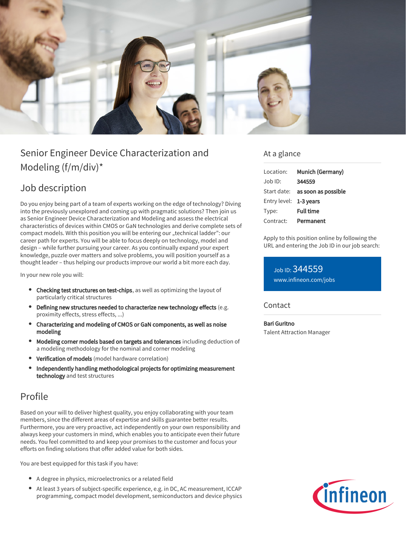

# Senior Engineer Device Characterization and Modeling (f/m/div)\*

## Job description

Do you enjoy being part of a team of experts working on the edge of technology? Diving into the previously unexplored and coming up with pragmatic solutions? Then join us as Senior Engineer Device Characterization and Modeling and assess the electrical characteristics of devices within CMOS or GaN technologies and derive complete sets of compact models. With this position you will be entering our "technical ladder": our career path for experts. You will be able to focus deeply on technology, model and design – while further pursuing your career. As you continually expand your expert knowledge, puzzle over matters and solve problems, you will position yourself as a thought leader – thus helping our products improve our world a bit more each day.

In your new role you will:

- Checking test structures on test-chips, as well as optimizing the layout of particularly critical structures
- Defining new structures needed to characterize new technology effects (e.g. proximity effects, stress effects, ...)
- Characterizing and modeling of CMOS or GaN components, as well as noise modeling
- Modeling corner models based on targets and tolerances including deduction of a modeling methodology for the nominal and corner modeling
- Verification of models (model hardware correlation)
- Independently handling methodological projects for optimizing measurement  $\bullet$ technology and test structures

## Profile

Based on your will to deliver highest quality, you enjoy collaborating with your team members, since the different areas of expertise and skills guarantee better results. Furthermore, you are very proactive, act independently on your own responsibility and always keep your customers in mind, which enables you to anticipate even their future needs. You feel committed to and keep your promises to the customer and focus your efforts on finding solutions that offer added value for both sides.

You are best equipped for this task if you have:

- A degree in physics, microelectronics or a related field
- At least 3 years of subject-specific experience, e.g. in DC, AC measurement, ICCAP programming, compact model development, semiconductors and device physics

### At a glance

| Location:              | Munich (Germany)                       |
|------------------------|----------------------------------------|
| $Joh$ ID:              | 344559                                 |
|                        | Start date: <b>as soon as possible</b> |
| Entry level: 1-3 years |                                        |
| Type:                  | <b>Full time</b>                       |
| Contract:              | Permanent                              |

Apply to this position online by following the URL and entering the Job ID in our job search:

Job ID: 344559 [www.infineon.com/jobs](https://www.infineon.com/jobs)

**Contact** 

Bari Guritno Talent Attraction Manager